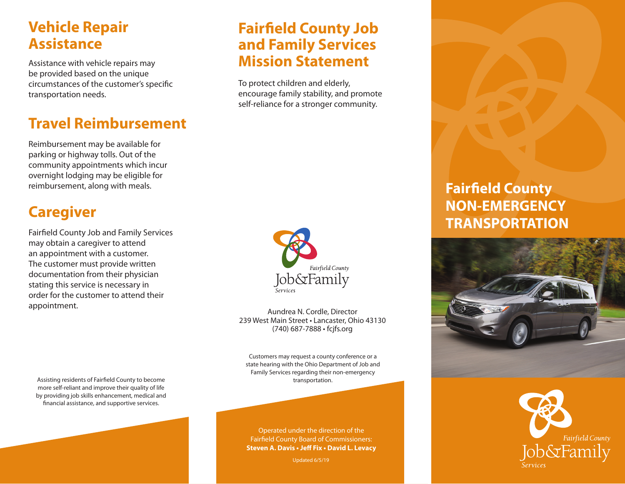## **Vehicle Repair Assistance**

Assistance with vehicle repairs may be provided based on the unique circumstances of the customer's specific transportation needs.

# **Travel Reimbursement**

Reimbursement may be available for parking or highway tolls. Out of the community appointments which incur overnight lodging may be eligible for reimbursement, along with meals.

## **Caregiver**

Fairfield County Job and Family Services may obtain a caregiver to attend an appointment with a customer. The customer must provide written documentation from their physician stating this service is necessary in order for the customer to attend their appointment.

Assisting residents of Fairfield County to become more self-reliant and improve their quality of life by providing job skills enhancement, medical and financial assistance, and supportive services.

### **Fairfield County Job and Family Services Mission Statement**

To protect children and elderly, encourage family stability, and promote self-reliance for a stronger community.



Aundrea N. Cordle, Director 239 West Main Street • Lancaster, Ohio 43130 (740) 687-7888 • fcjfs.org

Customers may request a county conference or a state hearing with the Ohio Department of Job and Family Services regarding their non-emergency transportation.

Operated under the direction of the Fairfield County Board of Commissioners: **Steven A. Davis • Jeff Fix • David L. Levacy**

Updated 6/5/19

## **Fairfield County NON-EMERGENCY TRANSPORTATION**